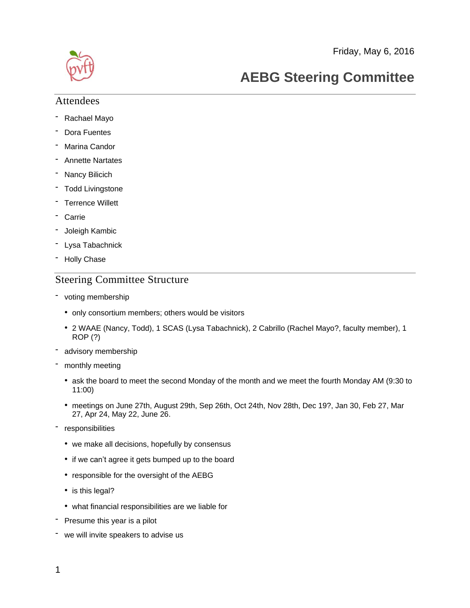Friday, May 6, 2016



# **AEBG Steering Committee**

#### Attendees

- Rachael Mayo
- Dora Fuentes
- Marina Candor
- Annette Nartates
- Nancy Bilicich
- Todd Livingstone
- Terrence Willett
- **Carrie**
- Joleigh Kambic
- Lysa Tabachnick
- Holly Chase

# Steering Committee Structure

- voting membership
	- only consortium members; others would be visitors
	- 2 WAAE (Nancy, Todd), 1 SCAS (Lysa Tabachnick), 2 Cabrillo (Rachel Mayo?, faculty member), 1 ROP (?)
- advisory membership
- monthly meeting
	- ask the board to meet the second Monday of the month and we meet the fourth Monday AM (9:30 to 11:00)
	- meetings on June 27th, August 29th, Sep 26th, Oct 24th, Nov 28th, Dec 19?, Jan 30, Feb 27, Mar 27, Apr 24, May 22, June 26.
- responsibilities
	- we make all decisions, hopefully by consensus
	- if we can't agree it gets bumped up to the board
	- responsible for the oversight of the AEBG
	- is this legal?
	- what financial responsibilities are we liable for
- Presume this year is a pilot
- we will invite speakers to advise us